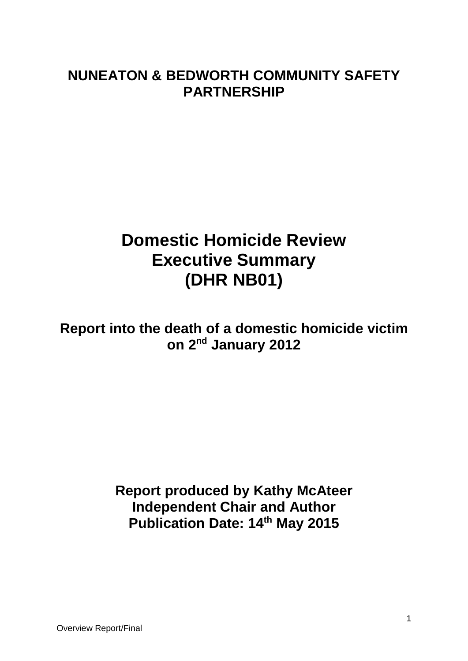# **NUNEATON & BEDWORTH COMMUNITY SAFETY PARTNERSHIP**

# **Domestic Homicide Review Executive Summary (DHR NB01)**

**Report into the death of a domestic homicide victim on 2nd January 2012**

> **Report produced by Kathy McAteer Independent Chair and Author Publication Date: 14th May 2015**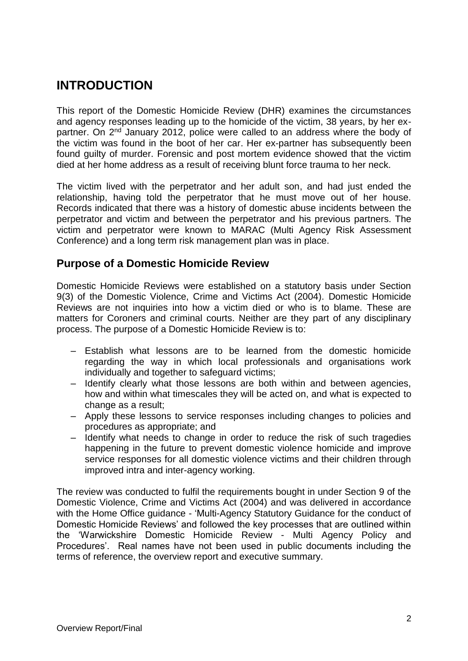## **INTRODUCTION**

This report of the Domestic Homicide Review (DHR) examines the circumstances and agency responses leading up to the homicide of the victim, 38 years, by her expartner. On 2<sup>nd</sup> January 2012, police were called to an address where the body of the victim was found in the boot of her car. Her ex-partner has subsequently been found guilty of murder. Forensic and post mortem evidence showed that the victim died at her home address as a result of receiving blunt force trauma to her neck.

The victim lived with the perpetrator and her adult son, and had just ended the relationship, having told the perpetrator that he must move out of her house. Records indicated that there was a history of domestic abuse incidents between the perpetrator and victim and between the perpetrator and his previous partners. The victim and perpetrator were known to MARAC (Multi Agency Risk Assessment Conference) and a long term risk management plan was in place.

### **Purpose of a Domestic Homicide Review**

Domestic Homicide Reviews were established on a statutory basis under Section 9(3) of the Domestic Violence, Crime and Victims Act (2004). Domestic Homicide Reviews are not inquiries into how a victim died or who is to blame. These are matters for Coroners and criminal courts. Neither are they part of any disciplinary process. The purpose of a Domestic Homicide Review is to:

- Establish what lessons are to be learned from the domestic homicide regarding the way in which local professionals and organisations work individually and together to safeguard victims;
- Identify clearly what those lessons are both within and between agencies, how and within what timescales they will be acted on, and what is expected to change as a result;
- Apply these lessons to service responses including changes to policies and procedures as appropriate; and
- Identify what needs to change in order to reduce the risk of such tragedies happening in the future to prevent domestic violence homicide and improve service responses for all domestic violence victims and their children through improved intra and inter-agency working.

The review was conducted to fulfil the requirements bought in under Section 9 of the Domestic Violence, Crime and Victims Act (2004) and was delivered in accordance with the Home Office guidance - 'Multi-Agency Statutory Guidance for the conduct of Domestic Homicide Reviews' and followed the key processes that are outlined within the 'Warwickshire Domestic Homicide Review - Multi Agency Policy and Procedures'. Real names have not been used in public documents including the terms of reference, the overview report and executive summary.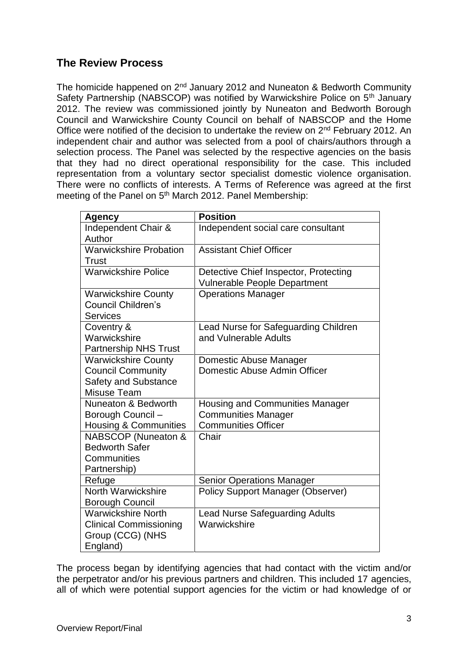### **The Review Process**

The homicide happened on  $2^{nd}$  January 2012 and Nuneaton & Bedworth Community Safety Partnership (NABSCOP) was notified by Warwickshire Police on 5<sup>th</sup> January 2012. The review was commissioned jointly by Nuneaton and Bedworth Borough Council and Warwickshire County Council on behalf of NABSCOP and the Home Office were notified of the decision to undertake the review on 2<sup>nd</sup> February 2012. An independent chair and author was selected from a pool of chairs/authors through a selection process. The Panel was selected by the respective agencies on the basis that they had no direct operational responsibility for the case. This included representation from a voluntary sector specialist domestic violence organisation. There were no conflicts of interests. A Terms of Reference was agreed at the first meeting of the Panel on 5<sup>th</sup> March 2012. Panel Membership:

| <b>Agency</b>                    | <b>Position</b>                          |
|----------------------------------|------------------------------------------|
| Independent Chair &              | Independent social care consultant       |
| Author                           |                                          |
| <b>Warwickshire Probation</b>    | <b>Assistant Chief Officer</b>           |
| Trust                            |                                          |
| <b>Warwickshire Police</b>       | Detective Chief Inspector, Protecting    |
|                                  | <b>Vulnerable People Department</b>      |
| <b>Warwickshire County</b>       | <b>Operations Manager</b>                |
| <b>Council Children's</b>        |                                          |
| <b>Services</b>                  |                                          |
| Coventry &                       | Lead Nurse for Safeguarding Children     |
| Warwickshire                     | and Vulnerable Adults                    |
| Partnership NHS Trust            |                                          |
| <b>Warwickshire County</b>       | Domestic Abuse Manager                   |
| <b>Council Community</b>         | Domestic Abuse Admin Officer             |
| <b>Safety and Substance</b>      |                                          |
| <b>Misuse Team</b>               |                                          |
| Nuneaton & Bedworth              | Housing and Communities Manager          |
| Borough Council -                | <b>Communities Manager</b>               |
| <b>Housing &amp; Communities</b> | <b>Communities Officer</b>               |
| <b>NABSCOP</b> (Nuneaton &       | Chair                                    |
| <b>Bedworth Safer</b>            |                                          |
| Communities                      |                                          |
| Partnership)                     |                                          |
| Refuge                           | <b>Senior Operations Manager</b>         |
| North Warwickshire               | <b>Policy Support Manager (Observer)</b> |
| <b>Borough Council</b>           |                                          |
| <b>Warwickshire North</b>        | <b>Lead Nurse Safeguarding Adults</b>    |
| <b>Clinical Commissioning</b>    | Warwickshire                             |
| Group (CCG) (NHS                 |                                          |
| England)                         |                                          |

The process began by identifying agencies that had contact with the victim and/or the perpetrator and/or his previous partners and children. This included 17 agencies, all of which were potential support agencies for the victim or had knowledge of or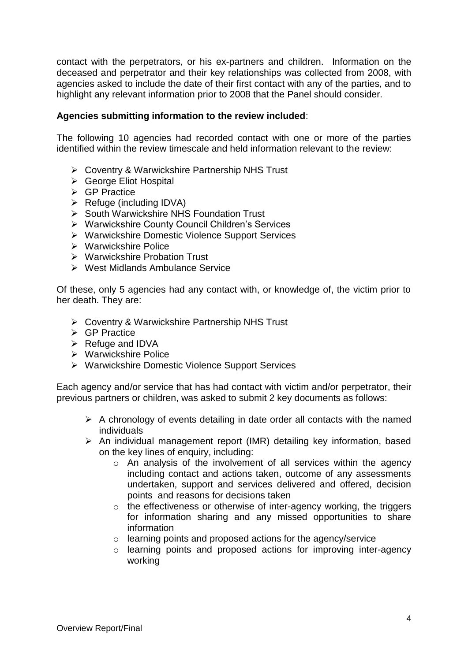contact with the perpetrators, or his ex-partners and children. Information on the deceased and perpetrator and their key relationships was collected from 2008, with agencies asked to include the date of their first contact with any of the parties, and to highlight any relevant information prior to 2008 that the Panel should consider.

### **Agencies submitting information to the review included**:

The following 10 agencies had recorded contact with one or more of the parties identified within the review timescale and held information relevant to the review:

- Coventry & Warwickshire Partnership NHS Trust
- ▶ George Eliot Hospital
- $\triangleright$  GP Practice
- $\triangleright$  Refuge (including IDVA)
- $\triangleright$  South Warwickshire NHS Foundation Trust
- Warwickshire County Council Children's Services
- Warwickshire Domestic Violence Support Services
- Warwickshire Police
- Warwickshire Probation Trust
- $\triangleright$  West Midlands Ambulance Service

Of these, only 5 agencies had any contact with, or knowledge of, the victim prior to her death. They are:

- Coventry & Warwickshire Partnership NHS Trust
- $\triangleright$  GP Practice
- $\triangleright$  Refuge and IDVA
- **▶ Warwickshire Police**
- ▶ Warwickshire Domestic Violence Support Services

Each agency and/or service that has had contact with victim and/or perpetrator, their previous partners or children, was asked to submit 2 key documents as follows:

- $\triangleright$  A chronology of events detailing in date order all contacts with the named individuals
- $\triangleright$  An individual management report (IMR) detailing key information, based on the key lines of enquiry, including:
	- o An analysis of the involvement of all services within the agency including contact and actions taken, outcome of any assessments undertaken, support and services delivered and offered, decision points and reasons for decisions taken
	- $\circ$  the effectiveness or otherwise of inter-agency working, the triggers for information sharing and any missed opportunities to share information
	- o learning points and proposed actions for the agency/service
	- o learning points and proposed actions for improving inter-agency working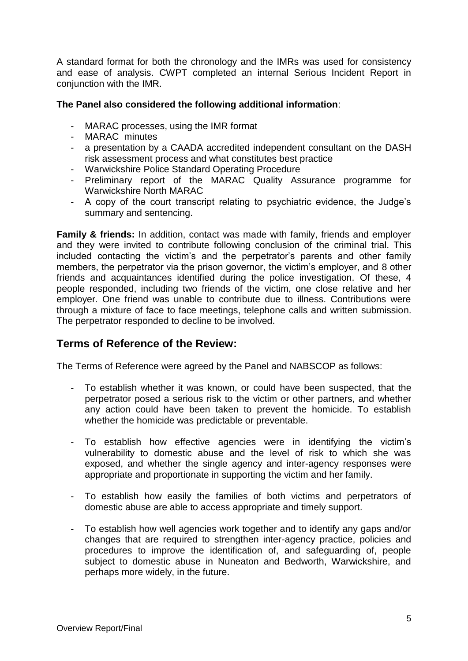A standard format for both the chronology and the IMRs was used for consistency and ease of analysis. CWPT completed an internal Serious Incident Report in conjunction with the IMR.

### **The Panel also considered the following additional information**:

- MARAC processes, using the IMR format
- MARAC minutes
- a presentation by a CAADA accredited independent consultant on the DASH risk assessment process and what constitutes best practice
- Warwickshire Police Standard Operating Procedure
- Preliminary report of the MARAC Quality Assurance programme for Warwickshire North MARAC
- A copy of the court transcript relating to psychiatric evidence, the Judge's summary and sentencing.

**Family & friends:** In addition, contact was made with family, friends and employer and they were invited to contribute following conclusion of the criminal trial. This included contacting the victim's and the perpetrator's parents and other family members, the perpetrator via the prison governor, the victim's employer, and 8 other friends and acquaintances identified during the police investigation. Of these, 4 people responded, including two friends of the victim, one close relative and her employer. One friend was unable to contribute due to illness. Contributions were through a mixture of face to face meetings, telephone calls and written submission. The perpetrator responded to decline to be involved.

### **Terms of Reference of the Review:**

The Terms of Reference were agreed by the Panel and NABSCOP as follows:

- To establish whether it was known, or could have been suspected, that the perpetrator posed a serious risk to the victim or other partners, and whether any action could have been taken to prevent the homicide. To establish whether the homicide was predictable or preventable.
- To establish how effective agencies were in identifying the victim's vulnerability to domestic abuse and the level of risk to which she was exposed, and whether the single agency and inter-agency responses were appropriate and proportionate in supporting the victim and her family.
- To establish how easily the families of both victims and perpetrators of domestic abuse are able to access appropriate and timely support.
- To establish how well agencies work together and to identify any gaps and/or changes that are required to strengthen inter-agency practice, policies and procedures to improve the identification of, and safeguarding of, people subject to domestic abuse in Nuneaton and Bedworth, Warwickshire, and perhaps more widely, in the future.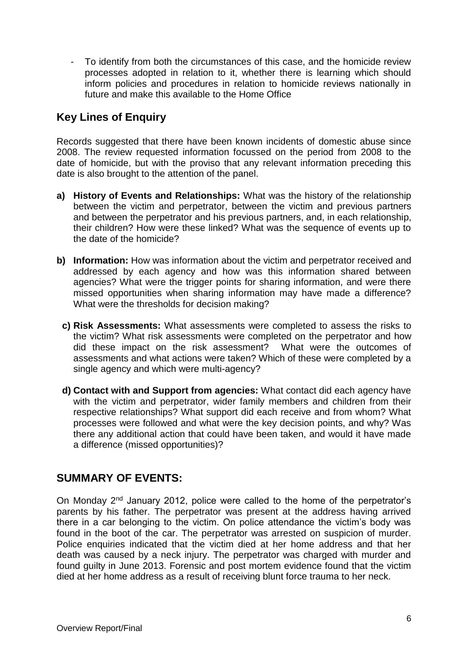- To identify from both the circumstances of this case, and the homicide review processes adopted in relation to it, whether there is learning which should inform policies and procedures in relation to homicide reviews nationally in future and make this available to the Home Office

### **Key Lines of Enquiry**

Records suggested that there have been known incidents of domestic abuse since 2008. The review requested information focussed on the period from 2008 to the date of homicide, but with the proviso that any relevant information preceding this date is also brought to the attention of the panel.

- **a) History of Events and Relationships:** What was the history of the relationship between the victim and perpetrator, between the victim and previous partners and between the perpetrator and his previous partners, and, in each relationship, their children? How were these linked? What was the sequence of events up to the date of the homicide?
- **b) Information:** How was information about the victim and perpetrator received and addressed by each agency and how was this information shared between agencies? What were the trigger points for sharing information, and were there missed opportunities when sharing information may have made a difference? What were the thresholds for decision making?
	- **c) Risk Assessments:** What assessments were completed to assess the risks to the victim? What risk assessments were completed on the perpetrator and how did these impact on the risk assessment? What were the outcomes of assessments and what actions were taken? Which of these were completed by a single agency and which were multi-agency?
	- **d) Contact with and Support from agencies:** What contact did each agency have with the victim and perpetrator, wider family members and children from their respective relationships? What support did each receive and from whom? What processes were followed and what were the key decision points, and why? Was there any additional action that could have been taken, and would it have made a difference (missed opportunities)?

### **SUMMARY OF EVENTS:**

On Monday 2nd January 2012, police were called to the home of the perpetrator's parents by his father. The perpetrator was present at the address having arrived there in a car belonging to the victim. On police attendance the victim's body was found in the boot of the car. The perpetrator was arrested on suspicion of murder. Police enquiries indicated that the victim died at her home address and that her death was caused by a neck injury. The perpetrator was charged with murder and found guilty in June 2013. Forensic and post mortem evidence found that the victim died at her home address as a result of receiving blunt force trauma to her neck.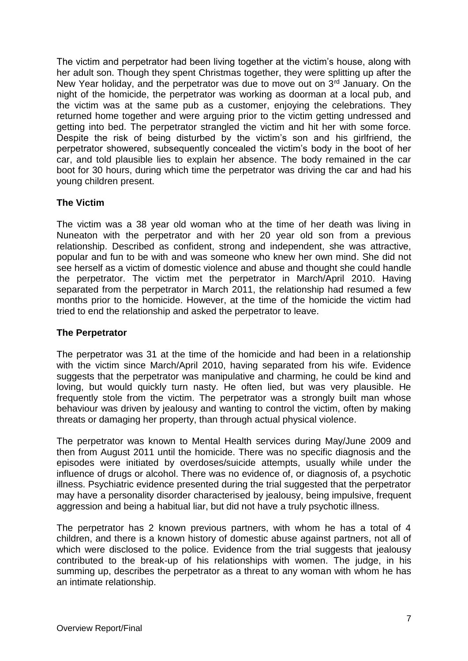The victim and perpetrator had been living together at the victim's house, along with her adult son. Though they spent Christmas together, they were splitting up after the New Year holiday, and the perpetrator was due to move out on  $3<sup>rd</sup>$  January. On the night of the homicide, the perpetrator was working as doorman at a local pub, and the victim was at the same pub as a customer, enjoying the celebrations. They returned home together and were arguing prior to the victim getting undressed and getting into bed. The perpetrator strangled the victim and hit her with some force. Despite the risk of being disturbed by the victim's son and his girlfriend, the perpetrator showered, subsequently concealed the victim's body in the boot of her car, and told plausible lies to explain her absence. The body remained in the car boot for 30 hours, during which time the perpetrator was driving the car and had his young children present.

### **The Victim**

The victim was a 38 year old woman who at the time of her death was living in Nuneaton with the perpetrator and with her 20 year old son from a previous relationship. Described as confident, strong and independent, she was attractive, popular and fun to be with and was someone who knew her own mind. She did not see herself as a victim of domestic violence and abuse and thought she could handle the perpetrator. The victim met the perpetrator in March/April 2010. Having separated from the perpetrator in March 2011, the relationship had resumed a few months prior to the homicide. However, at the time of the homicide the victim had tried to end the relationship and asked the perpetrator to leave.

### **The Perpetrator**

The perpetrator was 31 at the time of the homicide and had been in a relationship with the victim since March/April 2010, having separated from his wife. Evidence suggests that the perpetrator was manipulative and charming, he could be kind and loving, but would quickly turn nasty. He often lied, but was very plausible. He frequently stole from the victim. The perpetrator was a strongly built man whose behaviour was driven by jealousy and wanting to control the victim, often by making threats or damaging her property, than through actual physical violence.

The perpetrator was known to Mental Health services during May/June 2009 and then from August 2011 until the homicide. There was no specific diagnosis and the episodes were initiated by overdoses/suicide attempts, usually while under the influence of drugs or alcohol. There was no evidence of, or diagnosis of, a psychotic illness. Psychiatric evidence presented during the trial suggested that the perpetrator may have a personality disorder characterised by jealousy, being impulsive, frequent aggression and being a habitual liar, but did not have a truly psychotic illness.

The perpetrator has 2 known previous partners, with whom he has a total of 4 children, and there is a known history of domestic abuse against partners, not all of which were disclosed to the police. Evidence from the trial suggests that jealousy contributed to the break-up of his relationships with women. The judge, in his summing up, describes the perpetrator as a threat to any woman with whom he has an intimate relationship.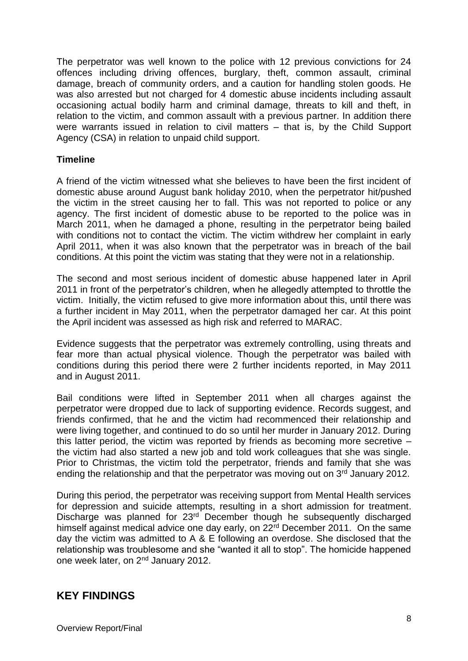The perpetrator was well known to the police with 12 previous convictions for 24 offences including driving offences, burglary, theft, common assault, criminal damage, breach of community orders, and a caution for handling stolen goods. He was also arrested but not charged for 4 domestic abuse incidents including assault occasioning actual bodily harm and criminal damage, threats to kill and theft, in relation to the victim, and common assault with a previous partner. In addition there were warrants issued in relation to civil matters – that is, by the Child Support Agency (CSA) in relation to unpaid child support.

### **Timeline**

A friend of the victim witnessed what she believes to have been the first incident of domestic abuse around August bank holiday 2010, when the perpetrator hit/pushed the victim in the street causing her to fall. This was not reported to police or any agency. The first incident of domestic abuse to be reported to the police was in March 2011, when he damaged a phone, resulting in the perpetrator being bailed with conditions not to contact the victim. The victim withdrew her complaint in early April 2011, when it was also known that the perpetrator was in breach of the bail conditions. At this point the victim was stating that they were not in a relationship.

The second and most serious incident of domestic abuse happened later in April 2011 in front of the perpetrator's children, when he allegedly attempted to throttle the victim. Initially, the victim refused to give more information about this, until there was a further incident in May 2011, when the perpetrator damaged her car. At this point the April incident was assessed as high risk and referred to MARAC.

Evidence suggests that the perpetrator was extremely controlling, using threats and fear more than actual physical violence. Though the perpetrator was bailed with conditions during this period there were 2 further incidents reported, in May 2011 and in August 2011.

Bail conditions were lifted in September 2011 when all charges against the perpetrator were dropped due to lack of supporting evidence. Records suggest, and friends confirmed, that he and the victim had recommenced their relationship and were living together, and continued to do so until her murder in January 2012. During this latter period, the victim was reported by friends as becoming more secretive – the victim had also started a new job and told work colleagues that she was single. Prior to Christmas, the victim told the perpetrator, friends and family that she was ending the relationship and that the perpetrator was moving out on 3<sup>rd</sup> January 2012.

During this period, the perpetrator was receiving support from Mental Health services for depression and suicide attempts, resulting in a short admission for treatment. Discharge was planned for 23<sup>rd</sup> December though he subsequently discharged himself against medical advice one day early, on 22<sup>rd</sup> December 2011. On the same day the victim was admitted to A & E following an overdose. She disclosed that the relationship was troublesome and she "wanted it all to stop". The homicide happened one week later, on 2nd January 2012.

### **KEY FINDINGS**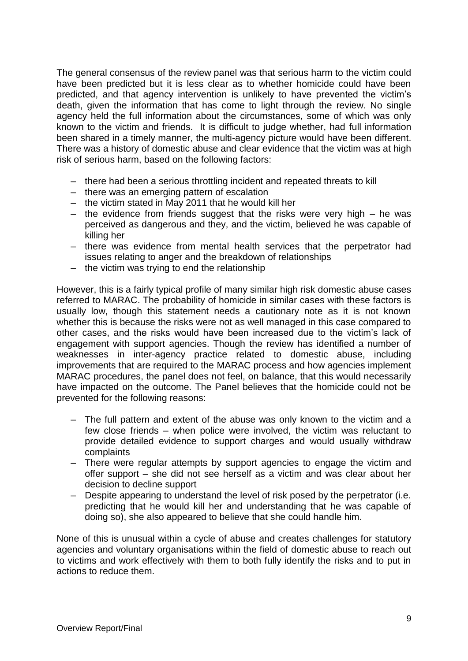The general consensus of the review panel was that serious harm to the victim could have been predicted but it is less clear as to whether homicide could have been predicted, and that agency intervention is unlikely to have prevented the victim's death, given the information that has come to light through the review. No single agency held the full information about the circumstances, some of which was only known to the victim and friends. It is difficult to judge whether, had full information been shared in a timely manner, the multi-agency picture would have been different. There was a history of domestic abuse and clear evidence that the victim was at high risk of serious harm, based on the following factors:

- there had been a serious throttling incident and repeated threats to kill
- there was an emerging pattern of escalation
- the victim stated in May 2011 that he would kill her
- $-$  the evidence from friends suggest that the risks were very high  $-$  he was perceived as dangerous and they, and the victim, believed he was capable of killing her
- there was evidence from mental health services that the perpetrator had issues relating to anger and the breakdown of relationships
- the victim was trying to end the relationship

However, this is a fairly typical profile of many similar high risk domestic abuse cases referred to MARAC. The probability of homicide in similar cases with these factors is usually low, though this statement needs a cautionary note as it is not known whether this is because the risks were not as well managed in this case compared to other cases, and the risks would have been increased due to the victim's lack of engagement with support agencies. Though the review has identified a number of weaknesses in inter-agency practice related to domestic abuse, including improvements that are required to the MARAC process and how agencies implement MARAC procedures, the panel does not feel, on balance, that this would necessarily have impacted on the outcome. The Panel believes that the homicide could not be prevented for the following reasons:

- The full pattern and extent of the abuse was only known to the victim and a few close friends – when police were involved, the victim was reluctant to provide detailed evidence to support charges and would usually withdraw complaints
- There were regular attempts by support agencies to engage the victim and offer support – she did not see herself as a victim and was clear about her decision to decline support
- Despite appearing to understand the level of risk posed by the perpetrator (i.e. predicting that he would kill her and understanding that he was capable of doing so), she also appeared to believe that she could handle him.

None of this is unusual within a cycle of abuse and creates challenges for statutory agencies and voluntary organisations within the field of domestic abuse to reach out to victims and work effectively with them to both fully identify the risks and to put in actions to reduce them.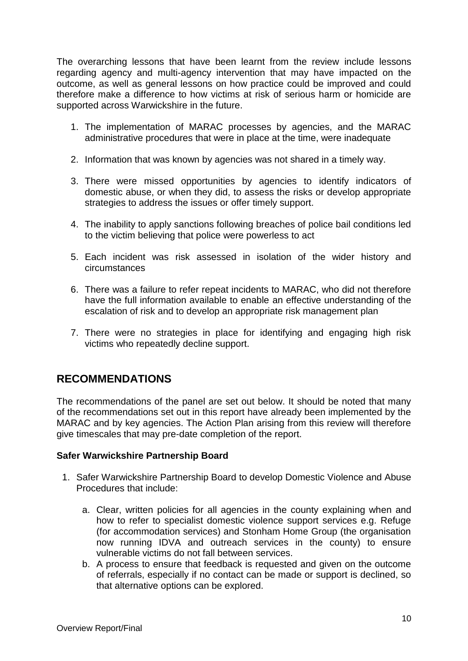The overarching lessons that have been learnt from the review include lessons regarding agency and multi-agency intervention that may have impacted on the outcome, as well as general lessons on how practice could be improved and could therefore make a difference to how victims at risk of serious harm or homicide are supported across Warwickshire in the future.

- 1. The implementation of MARAC processes by agencies, and the MARAC administrative procedures that were in place at the time, were inadequate
- 2. Information that was known by agencies was not shared in a timely way.
- 3. There were missed opportunities by agencies to identify indicators of domestic abuse, or when they did, to assess the risks or develop appropriate strategies to address the issues or offer timely support.
- 4. The inability to apply sanctions following breaches of police bail conditions led to the victim believing that police were powerless to act
- 5. Each incident was risk assessed in isolation of the wider history and circumstances
- 6. There was a failure to refer repeat incidents to MARAC, who did not therefore have the full information available to enable an effective understanding of the escalation of risk and to develop an appropriate risk management plan
- 7. There were no strategies in place for identifying and engaging high risk victims who repeatedly decline support.

### **RECOMMENDATIONS**

The recommendations of the panel are set out below. It should be noted that many of the recommendations set out in this report have already been implemented by the MARAC and by key agencies. The Action Plan arising from this review will therefore give timescales that may pre-date completion of the report.

### **Safer Warwickshire Partnership Board**

- 1. Safer Warwickshire Partnership Board to develop Domestic Violence and Abuse Procedures that include:
	- a. Clear, written policies for all agencies in the county explaining when and how to refer to specialist domestic violence support services e.g. Refuge (for accommodation services) and Stonham Home Group (the organisation now running IDVA and outreach services in the county) to ensure vulnerable victims do not fall between services.
	- b. A process to ensure that feedback is requested and given on the outcome of referrals, especially if no contact can be made or support is declined, so that alternative options can be explored.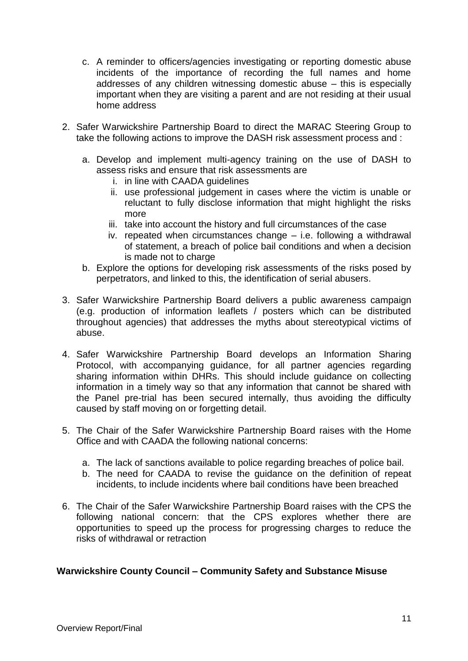- c. A reminder to officers/agencies investigating or reporting domestic abuse incidents of the importance of recording the full names and home addresses of any children witnessing domestic abuse – this is especially important when they are visiting a parent and are not residing at their usual home address
- 2. Safer Warwickshire Partnership Board to direct the MARAC Steering Group to take the following actions to improve the DASH risk assessment process and :
	- a. Develop and implement multi-agency training on the use of DASH to assess risks and ensure that risk assessments are
		- i. in line with CAADA guidelines
		- ii. use professional judgement in cases where the victim is unable or reluctant to fully disclose information that might highlight the risks more
		- iii. take into account the history and full circumstances of the case
		- iv. repeated when circumstances change i.e. following a withdrawal of statement, a breach of police bail conditions and when a decision is made not to charge
	- b. Explore the options for developing risk assessments of the risks posed by perpetrators, and linked to this, the identification of serial abusers.
- 3. Safer Warwickshire Partnership Board delivers a public awareness campaign (e.g. production of information leaflets / posters which can be distributed throughout agencies) that addresses the myths about stereotypical victims of abuse.
- 4. Safer Warwickshire Partnership Board develops an Information Sharing Protocol, with accompanying guidance, for all partner agencies regarding sharing information within DHRs. This should include guidance on collecting information in a timely way so that any information that cannot be shared with the Panel pre-trial has been secured internally, thus avoiding the difficulty caused by staff moving on or forgetting detail.
- 5. The Chair of the Safer Warwickshire Partnership Board raises with the Home Office and with CAADA the following national concerns:
	- a. The lack of sanctions available to police regarding breaches of police bail.
	- b. The need for CAADA to revise the guidance on the definition of repeat incidents, to include incidents where bail conditions have been breached
- 6. The Chair of the Safer Warwickshire Partnership Board raises with the CPS the following national concern: that the CPS explores whether there are opportunities to speed up the process for progressing charges to reduce the risks of withdrawal or retraction

### **Warwickshire County Council – Community Safety and Substance Misuse**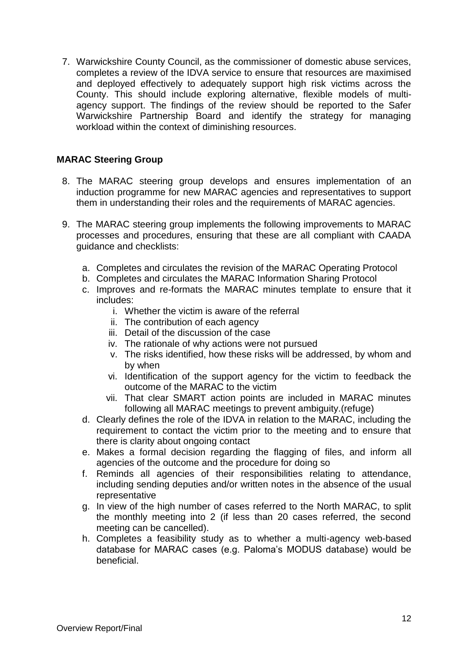7. Warwickshire County Council, as the commissioner of domestic abuse services, completes a review of the IDVA service to ensure that resources are maximised and deployed effectively to adequately support high risk victims across the County. This should include exploring alternative, flexible models of multiagency support. The findings of the review should be reported to the Safer Warwickshire Partnership Board and identify the strategy for managing workload within the context of diminishing resources.

### **MARAC Steering Group**

- 8. The MARAC steering group develops and ensures implementation of an induction programme for new MARAC agencies and representatives to support them in understanding their roles and the requirements of MARAC agencies.
- 9. The MARAC steering group implements the following improvements to MARAC processes and procedures, ensuring that these are all compliant with CAADA guidance and checklists:
	- a. Completes and circulates the revision of the MARAC Operating Protocol
	- b. Completes and circulates the MARAC Information Sharing Protocol
	- c. Improves and re-formats the MARAC minutes template to ensure that it includes:
		- i. Whether the victim is aware of the referral
		- ii. The contribution of each agency
		- iii. Detail of the discussion of the case
		- iv. The rationale of why actions were not pursued
		- v. The risks identified, how these risks will be addressed, by whom and by when
		- vi. Identification of the support agency for the victim to feedback the outcome of the MARAC to the victim
		- vii. That clear SMART action points are included in MARAC minutes following all MARAC meetings to prevent ambiguity.(refuge)
	- d. Clearly defines the role of the IDVA in relation to the MARAC, including the requirement to contact the victim prior to the meeting and to ensure that there is clarity about ongoing contact
	- e. Makes a formal decision regarding the flagging of files, and inform all agencies of the outcome and the procedure for doing so
	- f. Reminds all agencies of their responsibilities relating to attendance, including sending deputies and/or written notes in the absence of the usual representative
	- g. In view of the high number of cases referred to the North MARAC, to split the monthly meeting into 2 (if less than 20 cases referred, the second meeting can be cancelled).
	- h. Completes a feasibility study as to whether a multi-agency web-based database for MARAC cases (e.g. Paloma's MODUS database) would be beneficial.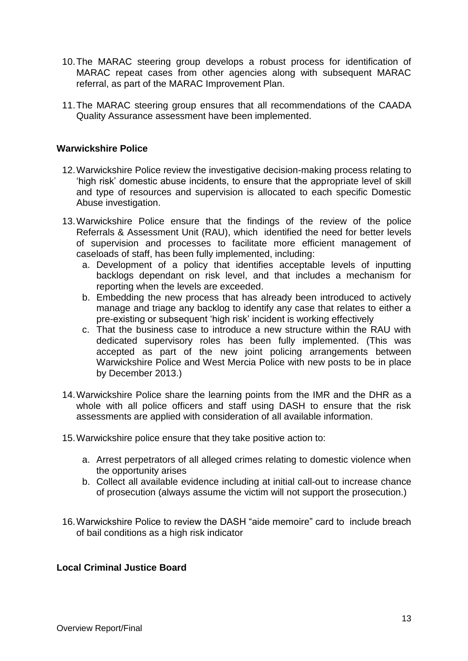- 10.The MARAC steering group develops a robust process for identification of MARAC repeat cases from other agencies along with subsequent MARAC referral, as part of the MARAC Improvement Plan.
- 11.The MARAC steering group ensures that all recommendations of the CAADA Quality Assurance assessment have been implemented.

#### **Warwickshire Police**

- 12.Warwickshire Police review the investigative decision-making process relating to 'high risk' domestic abuse incidents, to ensure that the appropriate level of skill and type of resources and supervision is allocated to each specific Domestic Abuse investigation.
- 13.Warwickshire Police ensure that the findings of the review of the police Referrals & Assessment Unit (RAU), which identified the need for better levels of supervision and processes to facilitate more efficient management of caseloads of staff, has been fully implemented, including:
	- a. Development of a policy that identifies acceptable levels of inputting backlogs dependant on risk level, and that includes a mechanism for reporting when the levels are exceeded.
	- b. Embedding the new process that has already been introduced to actively manage and triage any backlog to identify any case that relates to either a pre-existing or subsequent 'high risk' incident is working effectively
	- c. That the business case to introduce a new structure within the RAU with dedicated supervisory roles has been fully implemented. (This was accepted as part of the new joint policing arrangements between Warwickshire Police and West Mercia Police with new posts to be in place by December 2013.)
- 14.Warwickshire Police share the learning points from the IMR and the DHR as a whole with all police officers and staff using DASH to ensure that the risk assessments are applied with consideration of all available information.
- 15.Warwickshire police ensure that they take positive action to:
	- a. Arrest perpetrators of all alleged crimes relating to domestic violence when the opportunity arises
	- b. Collect all available evidence including at initial call-out to increase chance of prosecution (always assume the victim will not support the prosecution.)
- 16.Warwickshire Police to review the DASH "aide memoire" card to include breach of bail conditions as a high risk indicator

#### **Local Criminal Justice Board**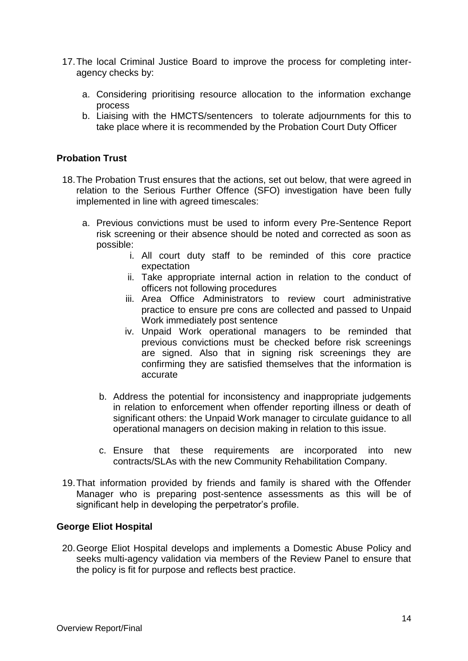- 17.The local Criminal Justice Board to improve the process for completing interagency checks by:
	- a. Considering prioritising resource allocation to the information exchange process
	- b. Liaising with the HMCTS/sentencers to tolerate adjournments for this to take place where it is recommended by the Probation Court Duty Officer

### **Probation Trust**

- 18.The Probation Trust ensures that the actions, set out below, that were agreed in relation to the Serious Further Offence (SFO) investigation have been fully implemented in line with agreed timescales:
	- a. Previous convictions must be used to inform every Pre-Sentence Report risk screening or their absence should be noted and corrected as soon as possible:
		- i. All court duty staff to be reminded of this core practice expectation
		- ii. Take appropriate internal action in relation to the conduct of officers not following procedures
		- iii. Area Office Administrators to review court administrative practice to ensure pre cons are collected and passed to Unpaid Work immediately post sentence
		- iv. Unpaid Work operational managers to be reminded that previous convictions must be checked before risk screenings are signed. Also that in signing risk screenings they are confirming they are satisfied themselves that the information is accurate
		- b. Address the potential for inconsistency and inappropriate judgements in relation to enforcement when offender reporting illness or death of significant others: the Unpaid Work manager to circulate guidance to all operational managers on decision making in relation to this issue.
		- c. Ensure that these requirements are incorporated into new contracts/SLAs with the new Community Rehabilitation Company.
- 19.That information provided by friends and family is shared with the Offender Manager who is preparing post-sentence assessments as this will be of significant help in developing the perpetrator's profile.

### **George Eliot Hospital**

20.George Eliot Hospital develops and implements a Domestic Abuse Policy and seeks multi-agency validation via members of the Review Panel to ensure that the policy is fit for purpose and reflects best practice.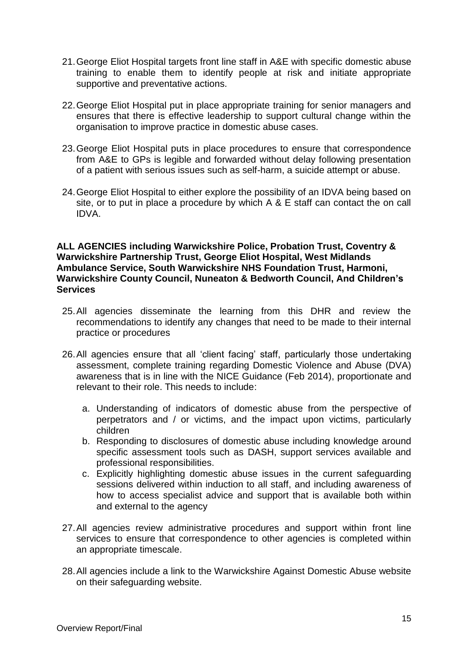- 21.George Eliot Hospital targets front line staff in A&E with specific domestic abuse training to enable them to identify people at risk and initiate appropriate supportive and preventative actions.
- 22.George Eliot Hospital put in place appropriate training for senior managers and ensures that there is effective leadership to support cultural change within the organisation to improve practice in domestic abuse cases.
- 23.George Eliot Hospital puts in place procedures to ensure that correspondence from A&E to GPs is legible and forwarded without delay following presentation of a patient with serious issues such as self-harm, a suicide attempt or abuse.
- 24.George Eliot Hospital to either explore the possibility of an IDVA being based on site, or to put in place a procedure by which A & E staff can contact the on call IDVA.

#### **ALL AGENCIES including Warwickshire Police, Probation Trust, Coventry & Warwickshire Partnership Trust, George Eliot Hospital, West Midlands Ambulance Service, South Warwickshire NHS Foundation Trust, Harmoni, Warwickshire County Council, Nuneaton & Bedworth Council, And Children's Services**

- 25.All agencies disseminate the learning from this DHR and review the recommendations to identify any changes that need to be made to their internal practice or procedures
- 26.All agencies ensure that all 'client facing' staff, particularly those undertaking assessment, complete training regarding Domestic Violence and Abuse (DVA) awareness that is in line with the NICE Guidance (Feb 2014), proportionate and relevant to their role. This needs to include:
	- a. Understanding of indicators of domestic abuse from the perspective of perpetrators and / or victims, and the impact upon victims, particularly children
	- b. Responding to disclosures of domestic abuse including knowledge around specific assessment tools such as DASH, support services available and professional responsibilities.
	- c. Explicitly highlighting domestic abuse issues in the current safeguarding sessions delivered within induction to all staff, and including awareness of how to access specialist advice and support that is available both within and external to the agency
- 27.All agencies review administrative procedures and support within front line services to ensure that correspondence to other agencies is completed within an appropriate timescale.
- 28.All agencies include a link to the Warwickshire Against Domestic Abuse website on their safeguarding website.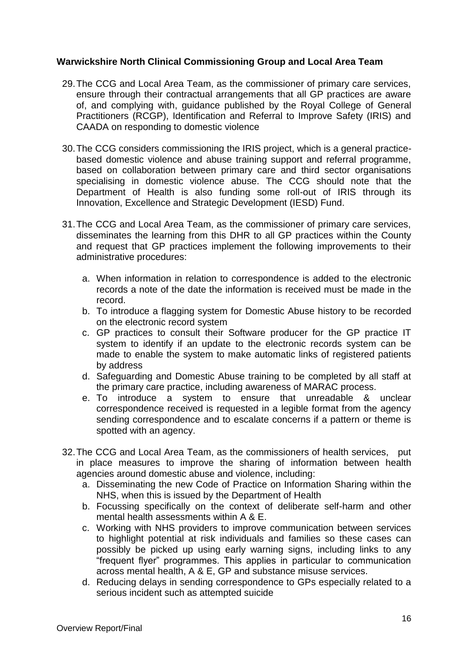### **Warwickshire North Clinical Commissioning Group and Local Area Team**

- 29.The CCG and Local Area Team, as the commissioner of primary care services, ensure through their contractual arrangements that all GP practices are aware of, and complying with, guidance published by the Royal College of General Practitioners (RCGP), Identification and Referral to Improve Safety (IRIS) and CAADA on responding to domestic violence
- 30.The CCG considers commissioning the IRIS project, which is a general practicebased domestic violence and abuse training support and referral programme, based on collaboration between primary care and third sector organisations specialising in domestic violence abuse. The CCG should note that the Department of Health is also funding some roll-out of IRIS through its Innovation, Excellence and Strategic Development (IESD) Fund.
- 31.The CCG and Local Area Team, as the commissioner of primary care services, disseminates the learning from this DHR to all GP practices within the County and request that GP practices implement the following improvements to their administrative procedures:
	- a. When information in relation to correspondence is added to the electronic records a note of the date the information is received must be made in the record.
	- b. To introduce a flagging system for Domestic Abuse history to be recorded on the electronic record system
	- c. GP practices to consult their Software producer for the GP practice IT system to identify if an update to the electronic records system can be made to enable the system to make automatic links of registered patients by address
	- d. Safeguarding and Domestic Abuse training to be completed by all staff at the primary care practice, including awareness of MARAC process.
	- e. To introduce a system to ensure that unreadable & unclear correspondence received is requested in a legible format from the agency sending correspondence and to escalate concerns if a pattern or theme is spotted with an agency.
- 32.The CCG and Local Area Team, as the commissioners of health services, put in place measures to improve the sharing of information between health agencies around domestic abuse and violence, including:
	- a. Disseminating the new Code of Practice on Information Sharing within the NHS, when this is issued by the Department of Health
	- b. Focussing specifically on the context of deliberate self-harm and other mental health assessments within A & E.
	- c. Working with NHS providers to improve communication between services to highlight potential at risk individuals and families so these cases can possibly be picked up using early warning signs, including links to any "frequent flyer" programmes. This applies in particular to communication across mental health, A & E, GP and substance misuse services.
	- d. Reducing delays in sending correspondence to GPs especially related to a serious incident such as attempted suicide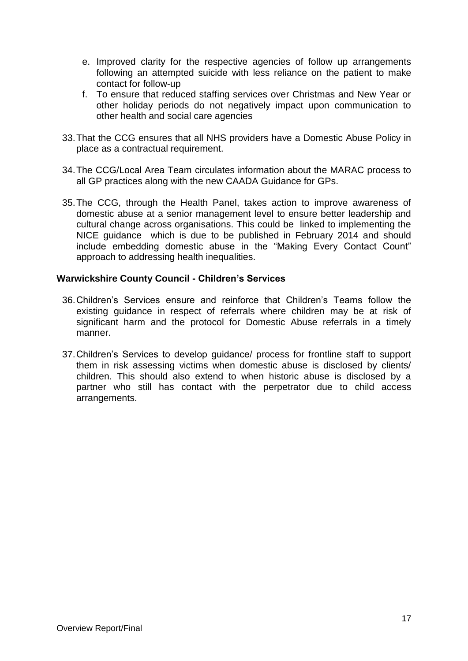- e. Improved clarity for the respective agencies of follow up arrangements following an attempted suicide with less reliance on the patient to make contact for follow-up
- f. To ensure that reduced staffing services over Christmas and New Year or other holiday periods do not negatively impact upon communication to other health and social care agencies
- 33.That the CCG ensures that all NHS providers have a Domestic Abuse Policy in place as a contractual requirement.
- 34.The CCG/Local Area Team circulates information about the MARAC process to all GP practices along with the new CAADA Guidance for GPs.
- 35.The CCG, through the Health Panel, takes action to improve awareness of domestic abuse at a senior management level to ensure better leadership and cultural change across organisations. This could be linked to implementing the NICE guidance which is due to be published in February 2014 and should include embedding domestic abuse in the "Making Every Contact Count" approach to addressing health inequalities.

### **Warwickshire County Council - Children's Services**

- 36.Children's Services ensure and reinforce that Children's Teams follow the existing guidance in respect of referrals where children may be at risk of significant harm and the protocol for Domestic Abuse referrals in a timely manner.
- 37.Children's Services to develop guidance/ process for frontline staff to support them in risk assessing victims when domestic abuse is disclosed by clients/ children. This should also extend to when historic abuse is disclosed by a partner who still has contact with the perpetrator due to child access arrangements.